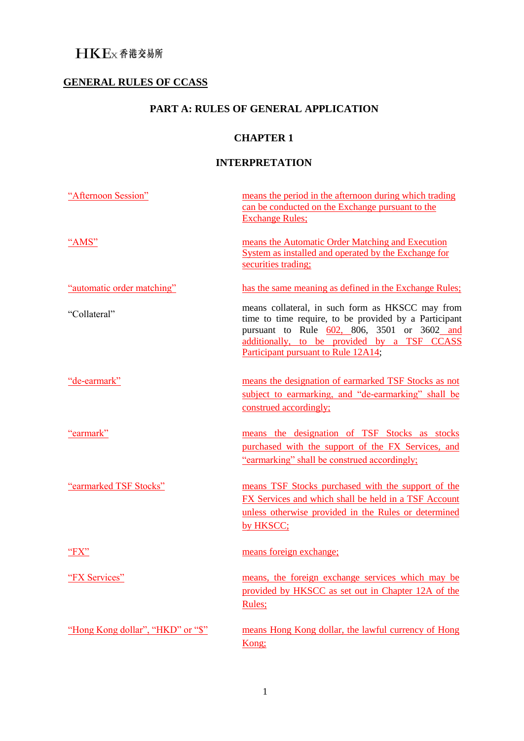# **GENERAL RULES OF CCASS**

# **PART A: RULES OF GENERAL APPLICATION**

## **CHAPTER 1**

## **INTERPRETATION**

| "Afternoon Session"               | means the period in the afternoon during which trading<br>can be conducted on the Exchange pursuant to the<br><b>Exchange Rules:</b>                                                                                                           |
|-----------------------------------|------------------------------------------------------------------------------------------------------------------------------------------------------------------------------------------------------------------------------------------------|
| "AMS"                             | means the Automatic Order Matching and Execution<br>System as installed and operated by the Exchange for<br>securities trading;                                                                                                                |
| "automatic order matching"        | has the same meaning as defined in the Exchange Rules;                                                                                                                                                                                         |
| "Collateral"                      | means collateral, in such form as HKSCC may from<br>time to time require, to be provided by a Participant<br>pursuant to Rule 602, 806, 3501 or 3602 and<br>additionally, to be provided by a TSF CCASS<br>Participant pursuant to Rule 12A14; |
| "de-earmark"                      | means the designation of earmarked TSF Stocks as not<br>subject to earmarking, and "de-earmarking" shall be<br>construed accordingly;                                                                                                          |
| "earmark"                         | means the designation of TSF Stocks as stocks<br>purchased with the support of the FX Services, and<br>"earmarking" shall be construed accordingly;                                                                                            |
| "earmarked TSF Stocks"            | means TSF Stocks purchased with the support of the<br>FX Services and which shall be held in a TSF Account<br>unless otherwise provided in the Rules or determined<br>by HKSCC;                                                                |
| "FX"                              | means foreign exchange;                                                                                                                                                                                                                        |
| "FX Services"                     | means, the foreign exchange services which may be<br>provided by HKSCC as set out in Chapter 12A of the<br>Rules;                                                                                                                              |
| "Hong Kong dollar", "HKD" or "\$" | means Hong Kong dollar, the lawful currency of Hong<br>Kong;                                                                                                                                                                                   |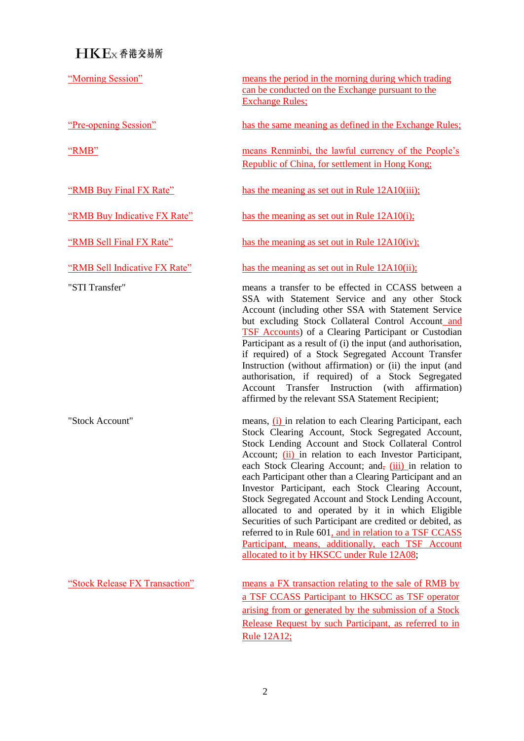"Morning Session" means the period in the morning during which trading can be conducted on the Exchange pursuant to the Exchange Rules;

"Pre-opening Session" has the same meaning as defined in the Exchange Rules;

"RMB" means Renminbi, the lawful currency of the People's Republic of China, for settlement in Hong Kong;

"RMB Buy Final FX Rate" has the meaning as set out in Rule 12A10(iii);

"RMB Buy Indicative FX Rate" has the meaning as set out in Rule 12A10(i);

"RMB Sell Final FX Rate" has the meaning as set out in Rule 12A10(iv);

"RMB Sell Indicative FX Rate" has the meaning as set out in Rule 12A10(ii);

"STI Transfer" means a transfer to be effected in CCASS between a SSA with Statement Service and any other Stock Account (including other SSA with Statement Service but excluding Stock Collateral Control Account and TSF Accounts) of a Clearing Participant or Custodian Participant as a result of (i) the input (and authorisation, if required) of a Stock Segregated Account Transfer Instruction (without affirmation) or (ii) the input (and authorisation, if required) of a Stock Segregated Account Transfer Instruction (with affirmation) affirmed by the relevant SSA Statement Recipient;

"Stock Account" means, (i) in relation to each Clearing Participant, each Stock Clearing Account, Stock Segregated Account, Stock Lending Account and Stock Collateral Control Account; (ii) in relation to each Investor Participant, each Stock Clearing Account; and,  $(iii)$  in relation to each Participant other than a Clearing Participant and an Investor Participant, each Stock Clearing Account, Stock Segregated Account and Stock Lending Account, allocated to and operated by it in which Eligible Securities of such Participant are credited or debited, as referred to in Rule 601, and in relation to a TSF CCASS Participant, means, additionally, each TSF Account allocated to it by HKSCC under Rule 12A08;

"Stock Release FX Transaction" means a FX transaction relating to the sale of RMB by a TSF CCASS Participant to HKSCC as TSF operator arising from or generated by the submission of a Stock Release Request by such Participant, as referred to in Rule 12A12;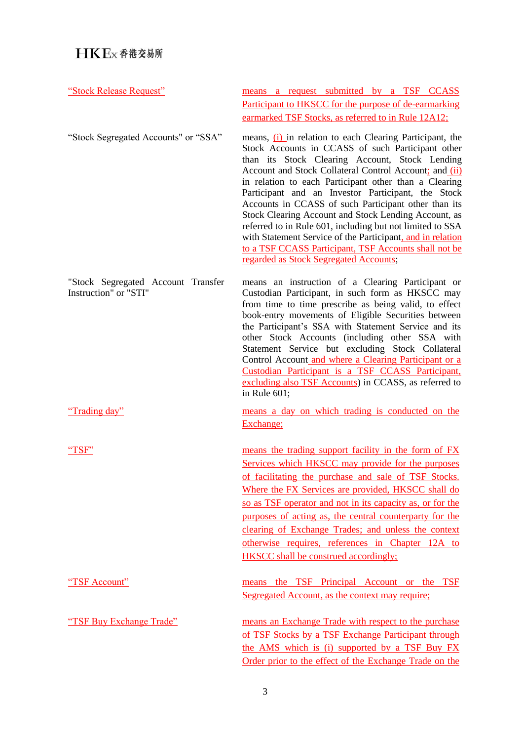| "Stock Release Request"                                     | means a request submitted by a TSF CCASS<br>Participant to HKSCC for the purpose of de-earmarking                                                                                                                                                                                                                                                                                                                                                                                                                                                                                                                                                                                                                                             |
|-------------------------------------------------------------|-----------------------------------------------------------------------------------------------------------------------------------------------------------------------------------------------------------------------------------------------------------------------------------------------------------------------------------------------------------------------------------------------------------------------------------------------------------------------------------------------------------------------------------------------------------------------------------------------------------------------------------------------------------------------------------------------------------------------------------------------|
| "Stock Segregated Accounts" or "SSA"                        | earmarked TSF Stocks, as referred to in Rule 12A12;<br>means, (i) in relation to each Clearing Participant, the<br>Stock Accounts in CCASS of such Participant other<br>than its Stock Clearing Account, Stock Lending<br>Account and Stock Collateral Control Account; and (ii)<br>in relation to each Participant other than a Clearing<br>Participant and an Investor Participant, the Stock<br>Accounts in CCASS of such Participant other than its<br>Stock Clearing Account and Stock Lending Account, as<br>referred to in Rule 601, including but not limited to SSA<br>with Statement Service of the Participant, and in relation<br>to a TSF CCASS Participant, TSF Accounts shall not be<br>regarded as Stock Segregated Accounts; |
| "Stock Segregated Account Transfer<br>Instruction" or "STI" | means an instruction of a Clearing Participant or<br>Custodian Participant, in such form as HKSCC may<br>from time to time prescribe as being valid, to effect<br>book-entry movements of Eligible Securities between<br>the Participant's SSA with Statement Service and its<br>other Stock Accounts (including other SSA with<br>Statement Service but excluding Stock Collateral<br>Control Account and where a Clearing Participant or a<br>Custodian Participant is a TSF CCASS Participant.<br>excluding also TSF Accounts) in CCASS, as referred to<br>in Rule $601$ ;                                                                                                                                                                 |
| "Trading day"                                               | means a day on which trading is conducted on the<br>Exchange;                                                                                                                                                                                                                                                                                                                                                                                                                                                                                                                                                                                                                                                                                 |
| "TSF"                                                       | means the trading support facility in the form of FX<br>Services which HKSCC may provide for the purposes<br>of facilitating the purchase and sale of TSF Stocks.<br>Where the FX Services are provided, HKSCC shall do<br>so as TSF operator and not in its capacity as, or for the<br>purposes of acting as, the central counterparty for the<br>clearing of Exchange Trades; and unless the context<br>otherwise requires, references in Chapter 12A to<br><b>HKSCC</b> shall be construed accordingly;                                                                                                                                                                                                                                    |
| "TSF Account"                                               | means the TSF Principal Account or the TSF<br>Segregated Account, as the context may require;                                                                                                                                                                                                                                                                                                                                                                                                                                                                                                                                                                                                                                                 |
| "TSF Buy Exchange Trade"                                    | means an Exchange Trade with respect to the purchase<br>of TSF Stocks by a TSF Exchange Participant through<br>the AMS which is (i) supported by a TSF Buy FX<br>Order prior to the effect of the Exchange Trade on the                                                                                                                                                                                                                                                                                                                                                                                                                                                                                                                       |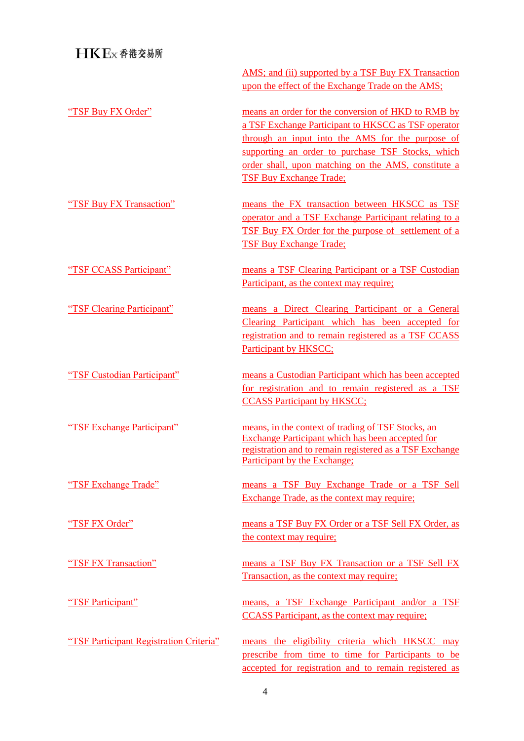|                                         | AMS; and (ii) supported by a TSF Buy FX Transaction<br>upon the effect of the Exchange Trade on the AMS;                                                                                                                                                                  |
|-----------------------------------------|---------------------------------------------------------------------------------------------------------------------------------------------------------------------------------------------------------------------------------------------------------------------------|
| "TSF Buy FX Order"                      | means an order for the conversion of HKD to RMB by<br>a TSF Exchange Participant to HKSCC as TSF operator<br>through an input into the AMS for the purpose of<br>supporting an order to purchase TSF Stocks, which<br>order shall, upon matching on the AMS, constitute a |
| "TSF Buy FX Transaction"                | <b>TSF Buy Exchange Trade;</b><br>means the FX transaction between HKSCC as TSF<br>operator and a TSF Exchange Participant relating to a<br>TSF Buy FX Order for the purpose of settlement of a<br><b>TSF Buy Exchange Trade;</b>                                         |
| "TSF CCASS Participant"                 | means a TSF Clearing Participant or a TSF Custodian<br>Participant, as the context may require;                                                                                                                                                                           |
| "TSF Clearing Participant"              | means a Direct Clearing Participant or a General<br>Clearing Participant which has been accepted for<br>registration and to remain registered as a TSF CCASS<br>Participant by HKSCC;                                                                                     |
| "TSF Custodian Participant"             | means a Custodian Participant which has been accepted<br>for registration and to remain registered as a TSF<br><b>CCASS Participant by HKSCC;</b>                                                                                                                         |
| "TSF Exchange Participant"              | means, in the context of trading of TSF Stocks, an<br><b>Exchange Participant which has been accepted for</b><br>registration and to remain registered as a TSF Exchange<br>Participant by the Exchange;                                                                  |
| "TSF Exchange Trade"                    | means a TSF Buy Exchange Trade or a TSF Sell<br><b>Exchange Trade, as the context may require;</b>                                                                                                                                                                        |
| "TSF FX Order"                          | means a TSF Buy FX Order or a TSF Sell FX Order, as<br>the context may require;                                                                                                                                                                                           |
| "TSF FX Transaction"                    | means a TSF Buy FX Transaction or a TSF Sell FX<br>Transaction, as the context may require;                                                                                                                                                                               |
| "TSF Participant"                       | means, a TSF Exchange Participant and/or a TSF<br><b>CCASS Participant, as the context may require;</b>                                                                                                                                                                   |
| "TSF Participant Registration Criteria" | means the eligibility criteria which HKSCC may<br>prescribe from time to time for Participants to be<br>accepted for registration and to remain registered as                                                                                                             |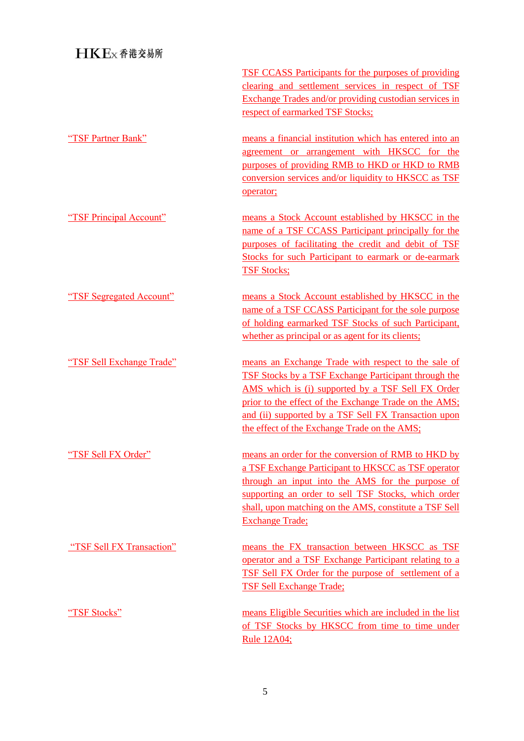|                           | <b>TSF CCASS Participants for the purposes of providing</b><br>clearing and settlement services in respect of TSF<br>Exchange Trades and/or providing custodian services in<br>respect of earmarked TSF Stocks;                                                                                                                          |
|---------------------------|------------------------------------------------------------------------------------------------------------------------------------------------------------------------------------------------------------------------------------------------------------------------------------------------------------------------------------------|
| "TSF Partner Bank"        | means a financial institution which has entered into an<br>agreement or arrangement with HKSCC for the<br>purposes of providing RMB to HKD or HKD to RMB<br>conversion services and/or liquidity to HKSCC as TSF<br>operator;                                                                                                            |
| "TSF Principal Account"   | means a Stock Account established by HKSCC in the<br>name of a TSF CCASS Participant principally for the<br>purposes of facilitating the credit and debit of TSF<br>Stocks for such Participant to earmark or de-earmark<br><b>TSF Stocks;</b>                                                                                           |
| "TSF Segregated Account"  | means a Stock Account established by HKSCC in the<br>name of a TSF CCASS Participant for the sole purpose<br>of holding earmarked TSF Stocks of such Participant,<br>whether as principal or as agent for its clients;                                                                                                                   |
| "TSF Sell Exchange Trade" | means an Exchange Trade with respect to the sale of<br><b>TSF Stocks by a TSF Exchange Participant through the</b><br>AMS which is (i) supported by a TSF Sell FX Order<br>prior to the effect of the Exchange Trade on the AMS;<br>and (ii) supported by a TSF Sell FX Transaction upon<br>the effect of the Exchange Trade on the AMS; |
| "TSF Sell FX Order"       | means an order for the conversion of RMB to HKD by<br>a TSF Exchange Participant to HKSCC as TSF operator<br>through an input into the AMS for the purpose of<br>supporting an order to sell TSF Stocks, which order<br>shall, upon matching on the AMS, constitute a TSF Sell<br><b>Exchange Trade;</b>                                 |
| "TSF Sell FX Transaction" | means the FX transaction between HKSCC as TSF<br>operator and a TSF Exchange Participant relating to a<br><b>TSF Sell FX Order for the purpose of settlement of a</b><br><b>TSF Sell Exchange Trade:</b>                                                                                                                                 |
| "TSF Stocks"              | means Eligible Securities which are included in the list<br>of TSF Stocks by HKSCC from time to time under<br><b>Rule 12A04;</b>                                                                                                                                                                                                         |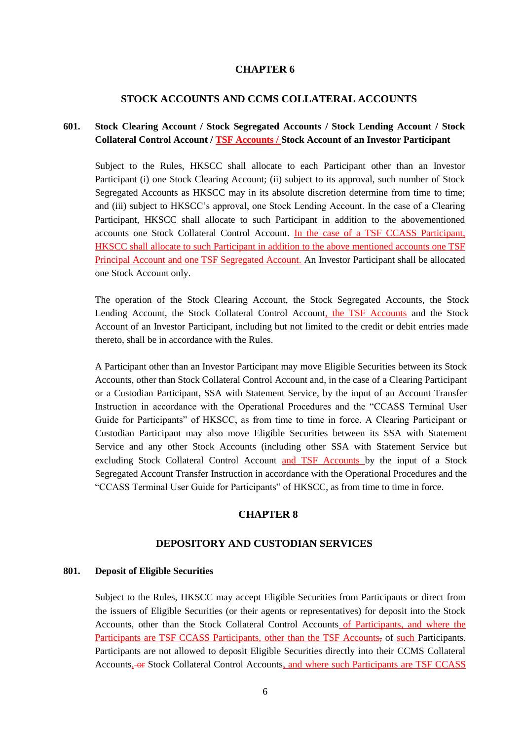#### **CHAPTER 6**

#### **STOCK ACCOUNTS AND CCMS COLLATERAL ACCOUNTS**

## **601. Stock Clearing Account / Stock Segregated Accounts / Stock Lending Account / Stock Collateral Control Account / TSF Accounts / Stock Account of an Investor Participant**

Subject to the Rules, HKSCC shall allocate to each Participant other than an Investor Participant (i) one Stock Clearing Account; (ii) subject to its approval, such number of Stock Segregated Accounts as HKSCC may in its absolute discretion determine from time to time; and (iii) subject to HKSCC's approval, one Stock Lending Account. In the case of a Clearing Participant, HKSCC shall allocate to such Participant in addition to the abovementioned accounts one Stock Collateral Control Account. In the case of a TSF CCASS Participant, HKSCC shall allocate to such Participant in addition to the above mentioned accounts one TSF Principal Account and one TSF Segregated Account. An Investor Participant shall be allocated one Stock Account only.

The operation of the Stock Clearing Account, the Stock Segregated Accounts, the Stock Lending Account, the Stock Collateral Control Account, the TSF Accounts and the Stock Account of an Investor Participant, including but not limited to the credit or debit entries made thereto, shall be in accordance with the Rules.

A Participant other than an Investor Participant may move Eligible Securities between its Stock Accounts, other than Stock Collateral Control Account and, in the case of a Clearing Participant or a Custodian Participant, SSA with Statement Service, by the input of an Account Transfer Instruction in accordance with the Operational Procedures and the "CCASS Terminal User Guide for Participants" of HKSCC, as from time to time in force. A Clearing Participant or Custodian Participant may also move Eligible Securities between its SSA with Statement Service and any other Stock Accounts (including other SSA with Statement Service but excluding Stock Collateral Control Account and TSF Accounts by the input of a Stock Segregated Account Transfer Instruction in accordance with the Operational Procedures and the "CCASS Terminal User Guide for Participants" of HKSCC, as from time to time in force.

## **CHAPTER 8**

#### **DEPOSITORY AND CUSTODIAN SERVICES**

#### **801. Deposit of Eligible Securities**

Subject to the Rules, HKSCC may accept Eligible Securities from Participants or direct from the issuers of Eligible Securities (or their agents or representatives) for deposit into the Stock Accounts, other than the Stock Collateral Control Accounts of Participants, and where the Participants are TSF CCASS Participants, other than the TSF Accounts, of such Participants. Participants are not allowed to deposit Eligible Securities directly into their CCMS Collateral Accounts, or Stock Collateral Control Accounts, and where such Participants are TSF CCASS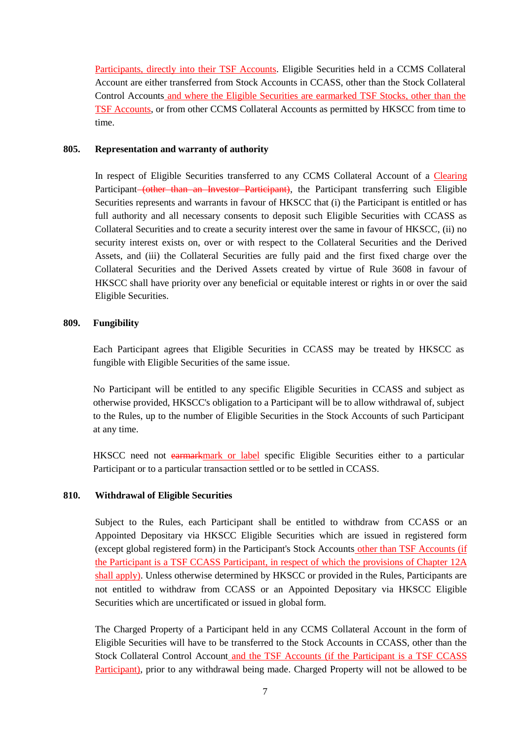Participants, directly into their TSF Accounts. Eligible Securities held in a CCMS Collateral Account are either transferred from Stock Accounts in CCASS, other than the Stock Collateral Control Accounts and where the Eligible Securities are earmarked TSF Stocks, other than the TSF Accounts, or from other CCMS Collateral Accounts as permitted by HKSCC from time to time.

#### **805. Representation and warranty of authority**

In respect of Eligible Securities transferred to any CCMS Collateral Account of a Clearing Participant (other than an Investor Participant), the Participant transferring such Eligible Securities represents and warrants in favour of HKSCC that (i) the Participant is entitled or has full authority and all necessary consents to deposit such Eligible Securities with CCASS as Collateral Securities and to create a security interest over the same in favour of HKSCC, (ii) no security interest exists on, over or with respect to the Collateral Securities and the Derived Assets, and (iii) the Collateral Securities are fully paid and the first fixed charge over the Collateral Securities and the Derived Assets created by virtue of Rule 3608 in favour of HKSCC shall have priority over any beneficial or equitable interest or rights in or over the said Eligible Securities.

## **809. Fungibility**

Each Participant agrees that Eligible Securities in CCASS may be treated by HKSCC as fungible with Eligible Securities of the same issue.

No Participant will be entitled to any specific Eligible Securities in CCASS and subject as otherwise provided, HKSCC's obligation to a Participant will be to allow withdrawal of, subject to the Rules, up to the number of Eligible Securities in the Stock Accounts of such Participant at any time.

HKSCC need not earmarkmark or label specific Eligible Securities either to a particular Participant or to a particular transaction settled or to be settled in CCASS.

## **810. Withdrawal of Eligible Securities**

Subject to the Rules, each Participant shall be entitled to withdraw from CCASS or an Appointed Depositary via HKSCC Eligible Securities which are issued in registered form (except global registered form) in the Participant's Stock Accounts other than TSF Accounts (if the Participant is a TSF CCASS Participant, in respect of which the provisions of Chapter 12A shall apply). Unless otherwise determined by HKSCC or provided in the Rules, Participants are not entitled to withdraw from CCASS or an Appointed Depositary via HKSCC Eligible Securities which are uncertificated or issued in global form.

The Charged Property of a Participant held in any CCMS Collateral Account in the form of Eligible Securities will have to be transferred to the Stock Accounts in CCASS, other than the Stock Collateral Control Account and the TSF Accounts (if the Participant is a TSF CCASS Participant), prior to any withdrawal being made. Charged Property will not be allowed to be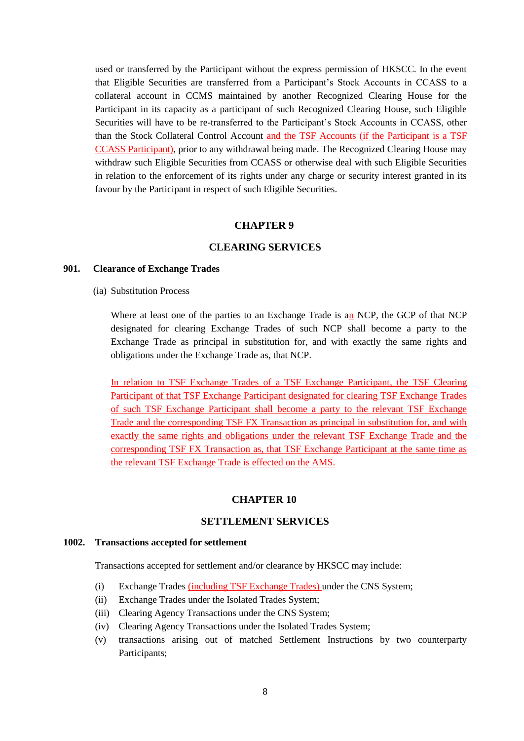used or transferred by the Participant without the express permission of HKSCC. In the event that Eligible Securities are transferred from a Participant's Stock Accounts in CCASS to a collateral account in CCMS maintained by another Recognized Clearing House for the Participant in its capacity as a participant of such Recognized Clearing House, such Eligible Securities will have to be re-transferred to the Participant's Stock Accounts in CCASS, other than the Stock Collateral Control Account and the TSF Accounts (if the Participant is a TSF CCASS Participant), prior to any withdrawal being made. The Recognized Clearing House may withdraw such Eligible Securities from CCASS or otherwise deal with such Eligible Securities in relation to the enforcement of its rights under any charge or security interest granted in its favour by the Participant in respect of such Eligible Securities.

#### **CHAPTER 9**

### **CLEARING SERVICES**

#### **901. Clearance of Exchange Trades**

(ia) Substitution Process

Where at least one of the parties to an Exchange Trade is an NCP, the GCP of that NCP designated for clearing Exchange Trades of such NCP shall become a party to the Exchange Trade as principal in substitution for, and with exactly the same rights and obligations under the Exchange Trade as, that NCP.

In relation to TSF Exchange Trades of a TSF Exchange Participant, the TSF Clearing Participant of that TSF Exchange Participant designated for clearing TSF Exchange Trades of such TSF Exchange Participant shall become a party to the relevant TSF Exchange Trade and the corresponding TSF FX Transaction as principal in substitution for, and with exactly the same rights and obligations under the relevant TSF Exchange Trade and the corresponding TSF FX Transaction as, that TSF Exchange Participant at the same time as the relevant TSF Exchange Trade is effected on the AMS.

#### **CHAPTER 10**

#### **SETTLEMENT SERVICES**

#### **1002. Transactions accepted for settlement**

Transactions accepted for settlement and/or clearance by HKSCC may include:

- (i) Exchange Trades (including TSF Exchange Trades) under the CNS System;
- (ii) Exchange Trades under the Isolated Trades System;
- (iii) Clearing Agency Transactions under the CNS System;
- (iv) Clearing Agency Transactions under the Isolated Trades System;
- (v) transactions arising out of matched Settlement Instructions by two counterparty Participants;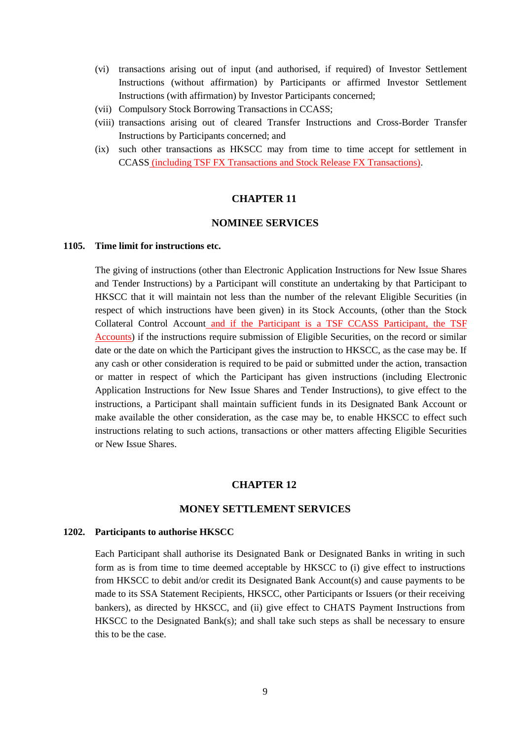- (vi) transactions arising out of input (and authorised, if required) of Investor Settlement Instructions (without affirmation) by Participants or affirmed Investor Settlement Instructions (with affirmation) by Investor Participants concerned;
- (vii) Compulsory Stock Borrowing Transactions in CCASS;
- (viii) transactions arising out of cleared Transfer Instructions and Cross-Border Transfer Instructions by Participants concerned; and
- (ix) such other transactions as HKSCC may from time to time accept for settlement in CCASS (including TSF FX Transactions and Stock Release FX Transactions).

#### **CHAPTER 11**

#### **NOMINEE SERVICES**

#### **1105. Time limit for instructions etc.**

The giving of instructions (other than Electronic Application Instructions for New Issue Shares and Tender Instructions) by a Participant will constitute an undertaking by that Participant to HKSCC that it will maintain not less than the number of the relevant Eligible Securities (in respect of which instructions have been given) in its Stock Accounts, (other than the Stock Collateral Control Account and if the Participant is a TSF CCASS Participant, the TSF Accounts) if the instructions require submission of Eligible Securities, on the record or similar date or the date on which the Participant gives the instruction to HKSCC, as the case may be. If any cash or other consideration is required to be paid or submitted under the action, transaction or matter in respect of which the Participant has given instructions (including Electronic Application Instructions for New Issue Shares and Tender Instructions), to give effect to the instructions, a Participant shall maintain sufficient funds in its Designated Bank Account or make available the other consideration, as the case may be, to enable HKSCC to effect such instructions relating to such actions, transactions or other matters affecting Eligible Securities or New Issue Shares.

#### **CHAPTER 12**

#### **MONEY SETTLEMENT SERVICES**

#### **1202. Participants to authorise HKSCC**

Each Participant shall authorise its Designated Bank or Designated Banks in writing in such form as is from time to time deemed acceptable by HKSCC to (i) give effect to instructions from HKSCC to debit and/or credit its Designated Bank Account(s) and cause payments to be made to its SSA Statement Recipients, HKSCC, other Participants or Issuers (or their receiving bankers), as directed by HKSCC, and (ii) give effect to CHATS Payment Instructions from HKSCC to the Designated Bank(s); and shall take such steps as shall be necessary to ensure this to be the case.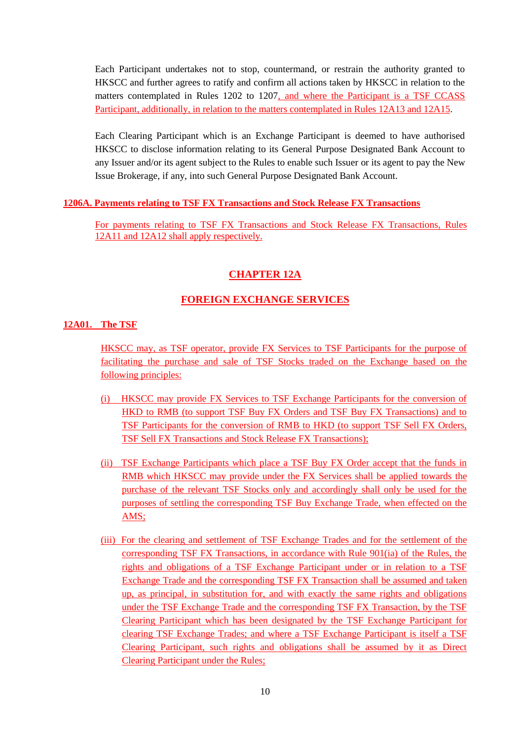Each Participant undertakes not to stop, countermand, or restrain the authority granted to HKSCC and further agrees to ratify and confirm all actions taken by HKSCC in relation to the matters contemplated in Rules 1202 to 1207, and where the Participant is a TSF CCASS Participant, additionally, in relation to the matters contemplated in Rules 12A13 and 12A15.

Each Clearing Participant which is an Exchange Participant is deemed to have authorised HKSCC to disclose information relating to its General Purpose Designated Bank Account to any Issuer and/or its agent subject to the Rules to enable such Issuer or its agent to pay the New Issue Brokerage, if any, into such General Purpose Designated Bank Account.

### **1206A. Payments relating to TSF FX Transactions and Stock Release FX Transactions**

For payments relating to TSF FX Transactions and Stock Release FX Transactions, Rules 12A11 and 12A12 shall apply respectively.

## **CHAPTER 12A**

## **FOREIGN EXCHANGE SERVICES**

### **12A01. The TSF**

HKSCC may, as TSF operator, provide FX Services to TSF Participants for the purpose of facilitating the purchase and sale of TSF Stocks traded on the Exchange based on the following principles:

- (i) HKSCC may provide FX Services to TSF Exchange Participants for the conversion of HKD to RMB (to support TSF Buy FX Orders and TSF Buy FX Transactions) and to TSF Participants for the conversion of RMB to HKD (to support TSF Sell FX Orders, TSF Sell FX Transactions and Stock Release FX Transactions);
- (ii) TSF Exchange Participants which place a TSF Buy FX Order accept that the funds in RMB which HKSCC may provide under the FX Services shall be applied towards the purchase of the relevant TSF Stocks only and accordingly shall only be used for the purposes of settling the corresponding TSF Buy Exchange Trade, when effected on the AMS;
- (iii) For the clearing and settlement of TSF Exchange Trades and for the settlement of the corresponding TSF FX Transactions, in accordance with Rule 901(ia) of the Rules, the rights and obligations of a TSF Exchange Participant under or in relation to a TSF Exchange Trade and the corresponding TSF FX Transaction shall be assumed and taken up, as principal, in substitution for, and with exactly the same rights and obligations under the TSF Exchange Trade and the corresponding TSF FX Transaction, by the TSF Clearing Participant which has been designated by the TSF Exchange Participant for clearing TSF Exchange Trades; and where a TSF Exchange Participant is itself a TSF Clearing Participant, such rights and obligations shall be assumed by it as Direct Clearing Participant under the Rules;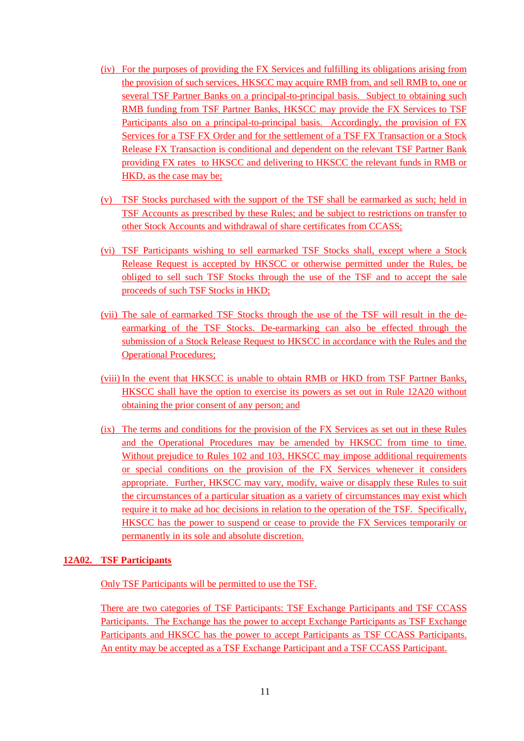- (iv) For the purposes of providing the FX Services and fulfilling its obligations arising from the provision of such services, HKSCC may acquire RMB from, and sell RMB to, one or several TSF Partner Banks on a principal-to-principal basis. Subject to obtaining such RMB funding from TSF Partner Banks, HKSCC may provide the FX Services to TSF Participants also on a principal-to-principal basis. Accordingly, the provision of FX Services for a TSF FX Order and for the settlement of a TSF FX Transaction or a Stock Release FX Transaction is conditional and dependent on the relevant TSF Partner Bank providing FX rates to HKSCC and delivering to HKSCC the relevant funds in RMB or HKD, as the case may be;
- (v) TSF Stocks purchased with the support of the TSF shall be earmarked as such; held in TSF Accounts as prescribed by these Rules; and be subject to restrictions on transfer to other Stock Accounts and withdrawal of share certificates from CCASS;
- (vi) TSF Participants wishing to sell earmarked TSF Stocks shall, except where a Stock Release Request is accepted by HKSCC or otherwise permitted under the Rules, be obliged to sell such TSF Stocks through the use of the TSF and to accept the sale proceeds of such TSF Stocks in HKD;
- (vii) The sale of earmarked TSF Stocks through the use of the TSF will result in the deearmarking of the TSF Stocks. De-earmarking can also be effected through the submission of a Stock Release Request to HKSCC in accordance with the Rules and the Operational Procedures;
- (viii) In the event that HKSCC is unable to obtain RMB or HKD from TSF Partner Banks, HKSCC shall have the option to exercise its powers as set out in Rule 12A20 without obtaining the prior consent of any person; and
- (ix) The terms and conditions for the provision of the FX Services as set out in these Rules and the Operational Procedures may be amended by HKSCC from time to time. Without prejudice to Rules 102 and 103, HKSCC may impose additional requirements or special conditions on the provision of the FX Services whenever it considers appropriate. Further, HKSCC may vary, modify, waive or disapply these Rules to suit the circumstances of a particular situation as a variety of circumstances may exist which require it to make ad hoc decisions in relation to the operation of the TSF. Specifically, HKSCC has the power to suspend or cease to provide the FX Services temporarily or permanently in its sole and absolute discretion.

#### **12A02. TSF Participants**

Only TSF Participants will be permitted to use the TSF.

There are two categories of TSF Participants: TSF Exchange Participants and TSF CCASS Participants. The Exchange has the power to accept Exchange Participants as TSF Exchange Participants and HKSCC has the power to accept Participants as TSF CCASS Participants. An entity may be accepted as a TSF Exchange Participant and a TSF CCASS Participant.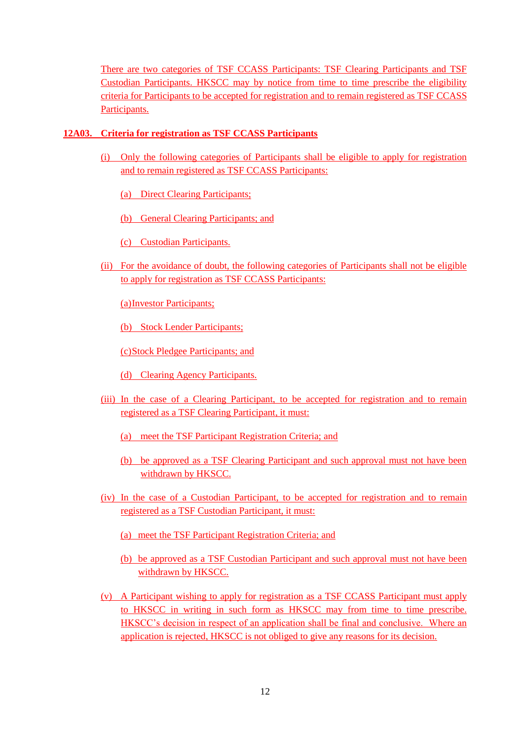There are two categories of TSF CCASS Participants: TSF Clearing Participants and TSF Custodian Participants. HKSCC may by notice from time to time prescribe the eligibility criteria for Participants to be accepted for registration and to remain registered as TSF CCASS Participants.

### **12A03. Criteria for registration as TSF CCASS Participants**

- (i) Only the following categories of Participants shall be eligible to apply for registration and to remain registered as TSF CCASS Participants:
	- (a) Direct Clearing Participants;

(b) General Clearing Participants; and

(c) Custodian Participants.

(ii) For the avoidance of doubt, the following categories of Participants shall not be eligible to apply for registration as TSF CCASS Participants:

(a)Investor Participants;

(b) Stock Lender Participants;

(c)Stock Pledgee Participants; and

- (d) Clearing Agency Participants.
- (iii) In the case of a Clearing Participant, to be accepted for registration and to remain registered as a TSF Clearing Participant, it must:
	- (a) meet the TSF Participant Registration Criteria; and
	- (b) be approved as a TSF Clearing Participant and such approval must not have been withdrawn by HKSCC.
- (iv) In the case of a Custodian Participant, to be accepted for registration and to remain registered as a TSF Custodian Participant, it must:
	- (a) meet the TSF Participant Registration Criteria; and
	- (b) be approved as a TSF Custodian Participant and such approval must not have been withdrawn by HKSCC.
- (v) A Participant wishing to apply for registration as a TSF CCASS Participant must apply to HKSCC in writing in such form as HKSCC may from time to time prescribe. HKSCC's decision in respect of an application shall be final and conclusive. Where an application is rejected, HKSCC is not obliged to give any reasons for its decision.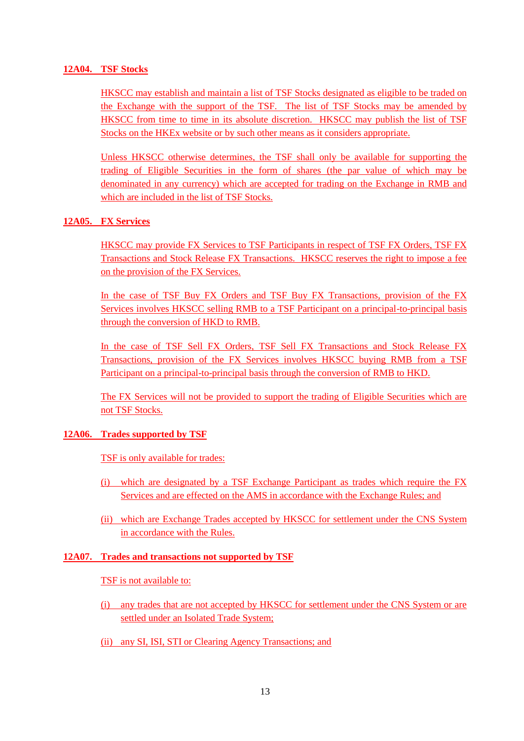#### **12A04. TSF Stocks**

HKSCC may establish and maintain a list of TSF Stocks designated as eligible to be traded on the Exchange with the support of the TSF. The list of TSF Stocks may be amended by HKSCC from time to time in its absolute discretion. HKSCC may publish the list of TSF Stocks on the HKEx website or by such other means as it considers appropriate.

Unless HKSCC otherwise determines, the TSF shall only be available for supporting the trading of Eligible Securities in the form of shares (the par value of which may be denominated in any currency) which are accepted for trading on the Exchange in RMB and which are included in the list of TSF Stocks.

## **12A05. FX Services**

HKSCC may provide FX Services to TSF Participants in respect of TSF FX Orders, TSF FX Transactions and Stock Release FX Transactions. HKSCC reserves the right to impose a fee on the provision of the FX Services.

In the case of TSF Buy FX Orders and TSF Buy FX Transactions, provision of the FX Services involves HKSCC selling RMB to a TSF Participant on a principal-to-principal basis through the conversion of HKD to RMB.

In the case of TSF Sell FX Orders, TSF Sell FX Transactions and Stock Release FX Transactions, provision of the FX Services involves HKSCC buying RMB from a TSF Participant on a principal-to-principal basis through the conversion of RMB to HKD.

The FX Services will not be provided to support the trading of Eligible Securities which are not TSF Stocks.

## **12A06. Trades supported by TSF**

TSF is only available for trades:

- (i) which are designated by a TSF Exchange Participant as trades which require the FX Services and are effected on the AMS in accordance with the Exchange Rules; and
- (ii) which are Exchange Trades accepted by HKSCC for settlement under the CNS System in accordance with the Rules.

#### **12A07. Trades and transactions not supported by TSF**

#### TSF is not available to:

- (i) any trades that are not accepted by HKSCC for settlement under the CNS System or are settled under an Isolated Trade System;
- (ii) any SI, ISI, STI or Clearing Agency Transactions; and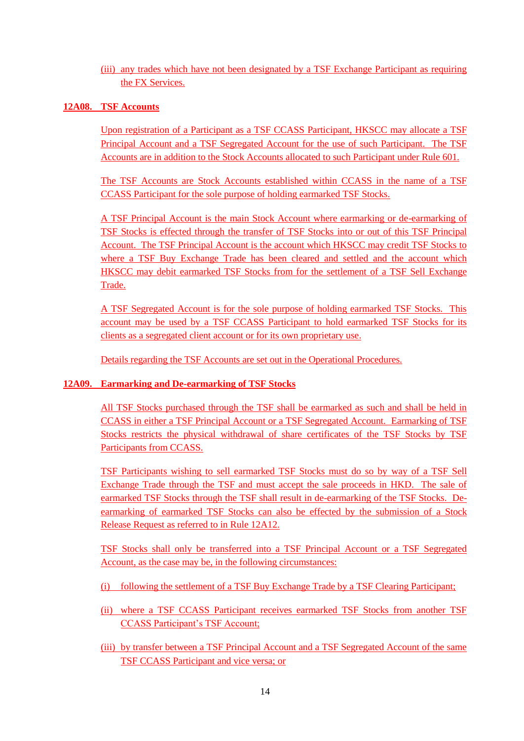(iii) any trades which have not been designated by a TSF Exchange Participant as requiring the FX Services.

## **12A08. TSF Accounts**

Upon registration of a Participant as a TSF CCASS Participant, HKSCC may allocate a TSF Principal Account and a TSF Segregated Account for the use of such Participant. The TSF Accounts are in addition to the Stock Accounts allocated to such Participant under Rule 601.

The TSF Accounts are Stock Accounts established within CCASS in the name of a TSF CCASS Participant for the sole purpose of holding earmarked TSF Stocks.

A TSF Principal Account is the main Stock Account where earmarking or de-earmarking of TSF Stocks is effected through the transfer of TSF Stocks into or out of this TSF Principal Account. The TSF Principal Account is the account which HKSCC may credit TSF Stocks to where a TSF Buy Exchange Trade has been cleared and settled and the account which HKSCC may debit earmarked TSF Stocks from for the settlement of a TSF Sell Exchange Trade.

A TSF Segregated Account is for the sole purpose of holding earmarked TSF Stocks. This account may be used by a TSF CCASS Participant to hold earmarked TSF Stocks for its clients as a segregated client account or for its own proprietary use.

Details regarding the TSF Accounts are set out in the Operational Procedures.

## **12A09. Earmarking and De-earmarking of TSF Stocks**

All TSF Stocks purchased through the TSF shall be earmarked as such and shall be held in CCASS in either a TSF Principal Account or a TSF Segregated Account. Earmarking of TSF Stocks restricts the physical withdrawal of share certificates of the TSF Stocks by TSF Participants from CCASS.

TSF Participants wishing to sell earmarked TSF Stocks must do so by way of a TSF Sell Exchange Trade through the TSF and must accept the sale proceeds in HKD. The sale of earmarked TSF Stocks through the TSF shall result in de-earmarking of the TSF Stocks. Deearmarking of earmarked TSF Stocks can also be effected by the submission of a Stock Release Request as referred to in Rule 12A12.

TSF Stocks shall only be transferred into a TSF Principal Account or a TSF Segregated Account, as the case may be, in the following circumstances:

- (i) following the settlement of a TSF Buy Exchange Trade by a TSF Clearing Participant;
- (ii) where a TSF CCASS Participant receives earmarked TSF Stocks from another TSF CCASS Participant's TSF Account;
- (iii) by transfer between a TSF Principal Account and a TSF Segregated Account of the same TSF CCASS Participant and vice versa; or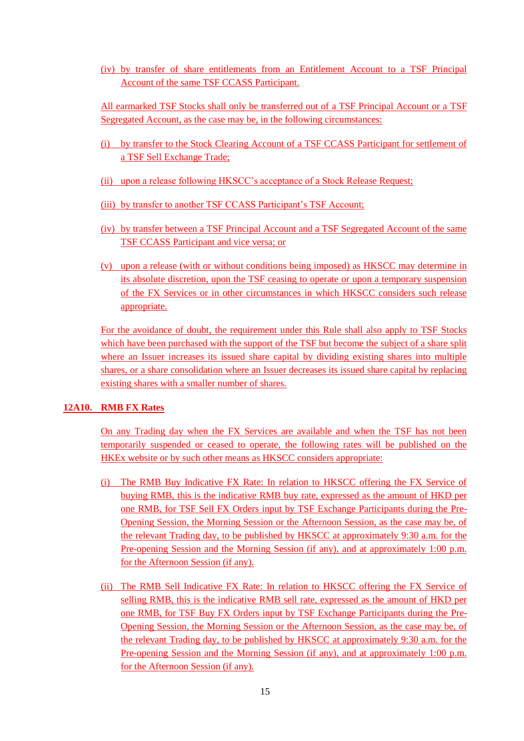(iv) by transfer of share entitlements from an Entitlement Account to a TSF Principal Account of the same TSF CCASS Participant.

All earmarked TSF Stocks shall only be transferred out of a TSF Principal Account or a TSF Segregated Account, as the case may be, in the following circumstances:

- (i) by transfer to the Stock Clearing Account of a TSF CCASS Participant for settlement of a TSF Sell Exchange Trade;
- (ii) upon a release following HKSCC's acceptance of a Stock Release Request;
- (iii) by transfer to another TSF CCASS Participant's TSF Account;
- (iv) by transfer between a TSF Principal Account and a TSF Segregated Account of the same TSF CCASS Participant and vice versa; or
- (v) upon a release (with or without conditions being imposed) as HKSCC may determine in its absolute discretion, upon the TSF ceasing to operate or upon a temporary suspension of the FX Services or in other circumstances in which HKSCC considers such release appropriate.

For the avoidance of doubt, the requirement under this Rule shall also apply to TSF Stocks which have been purchased with the support of the TSF but become the subject of a share split where an Issuer increases its issued share capital by dividing existing shares into multiple shares, or a share consolidation where an Issuer decreases its issued share capital by replacing existing shares with a smaller number of shares.

#### **12A10. RMB FX Rates**

On any Trading day when the FX Services are available and when the TSF has not been temporarily suspended or ceased to operate, the following rates will be published on the HKEx website or by such other means as HKSCC considers appropriate:

- (i) The RMB Buy Indicative FX Rate: In relation to HKSCC offering the FX Service of buying RMB, this is the indicative RMB buy rate, expressed as the amount of HKD per one RMB, for TSF Sell FX Orders input by TSF Exchange Participants during the Pre-Opening Session, the Morning Session or the Afternoon Session, as the case may be, of the relevant Trading day, to be published by HKSCC at approximately 9:30 a.m. for the Pre-opening Session and the Morning Session (if any), and at approximately 1:00 p.m. for the Afternoon Session (if any).
- (ii) The RMB Sell Indicative FX Rate: In relation to HKSCC offering the FX Service of selling RMB, this is the indicative RMB sell rate, expressed as the amount of HKD per one RMB, for TSF Buy FX Orders input by TSF Exchange Participants during the Pre-Opening Session, the Morning Session or the Afternoon Session, as the case may be, of the relevant Trading day, to be published by HKSCC at approximately 9:30 a.m. for the Pre-opening Session and the Morning Session (if any), and at approximately 1:00 p.m. for the Afternoon Session (if any).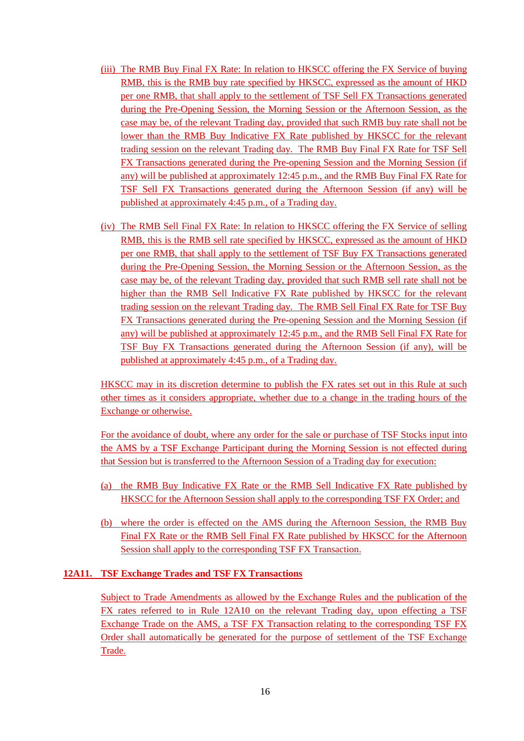- (iii) The RMB Buy Final FX Rate: In relation to HKSCC offering the FX Service of buying RMB, this is the RMB buy rate specified by HKSCC, expressed as the amount of HKD per one RMB, that shall apply to the settlement of TSF Sell FX Transactions generated during the Pre-Opening Session, the Morning Session or the Afternoon Session, as the case may be, of the relevant Trading day, provided that such RMB buy rate shall not be lower than the RMB Buy Indicative FX Rate published by HKSCC for the relevant trading session on the relevant Trading day. The RMB Buy Final FX Rate for TSF Sell FX Transactions generated during the Pre-opening Session and the Morning Session (if any) will be published at approximately 12:45 p.m., and the RMB Buy Final FX Rate for TSF Sell FX Transactions generated during the Afternoon Session (if any) will be published at approximately 4:45 p.m., of a Trading day.
- (iv) The RMB Sell Final FX Rate: In relation to HKSCC offering the FX Service of selling RMB, this is the RMB sell rate specified by HKSCC, expressed as the amount of HKD per one RMB, that shall apply to the settlement of TSF Buy FX Transactions generated during the Pre-Opening Session, the Morning Session or the Afternoon Session, as the case may be, of the relevant Trading day, provided that such RMB sell rate shall not be higher than the RMB Sell Indicative FX Rate published by HKSCC for the relevant trading session on the relevant Trading day. The RMB Sell Final FX Rate for TSF Buy FX Transactions generated during the Pre-opening Session and the Morning Session (if any) will be published at approximately 12:45 p.m., and the RMB Sell Final FX Rate for TSF Buy FX Transactions generated during the Afternoon Session (if any), will be published at approximately 4:45 p.m., of a Trading day.

HKSCC may in its discretion determine to publish the FX rates set out in this Rule at such other times as it considers appropriate, whether due to a change in the trading hours of the Exchange or otherwise.

For the avoidance of doubt, where any order for the sale or purchase of TSF Stocks input into the AMS by a TSF Exchange Participant during the Morning Session is not effected during that Session but is transferred to the Afternoon Session of a Trading day for execution:

- (a) the RMB Buy Indicative FX Rate or the RMB Sell Indicative FX Rate published by HKSCC for the Afternoon Session shall apply to the corresponding TSF FX Order; and
- (b) where the order is effected on the AMS during the Afternoon Session, the RMB Buy Final FX Rate or the RMB Sell Final FX Rate published by HKSCC for the Afternoon Session shall apply to the corresponding TSF FX Transaction.

## **12A11. TSF Exchange Trades and TSF FX Transactions**

Subject to Trade Amendments as allowed by the Exchange Rules and the publication of the FX rates referred to in Rule 12A10 on the relevant Trading day, upon effecting a TSF Exchange Trade on the AMS, a TSF FX Transaction relating to the corresponding TSF FX Order shall automatically be generated for the purpose of settlement of the TSF Exchange Trade.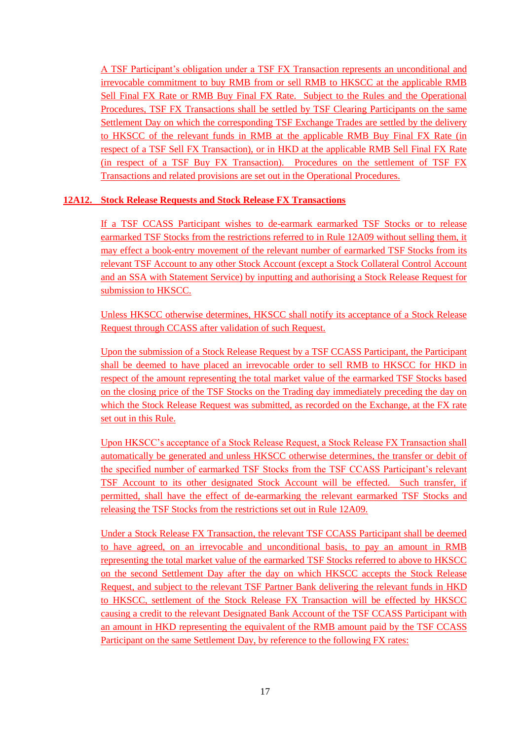A TSF Participant's obligation under a TSF FX Transaction represents an unconditional and irrevocable commitment to buy RMB from or sell RMB to HKSCC at the applicable RMB Sell Final FX Rate or RMB Buy Final FX Rate. Subject to the Rules and the Operational Procedures, TSF FX Transactions shall be settled by TSF Clearing Participants on the same Settlement Day on which the corresponding TSF Exchange Trades are settled by the delivery to HKSCC of the relevant funds in RMB at the applicable RMB Buy Final FX Rate (in respect of a TSF Sell FX Transaction), or in HKD at the applicable RMB Sell Final FX Rate (in respect of a TSF Buy FX Transaction). Procedures on the settlement of TSF FX Transactions and related provisions are set out in the Operational Procedures.

## **12A12. Stock Release Requests and Stock Release FX Transactions**

If a TSF CCASS Participant wishes to de-earmark earmarked TSF Stocks or to release earmarked TSF Stocks from the restrictions referred to in Rule 12A09 without selling them, it may effect a book-entry movement of the relevant number of earmarked TSF Stocks from its relevant TSF Account to any other Stock Account (except a Stock Collateral Control Account and an SSA with Statement Service) by inputting and authorising a Stock Release Request for submission to HKSCC.

Unless HKSCC otherwise determines, HKSCC shall notify its acceptance of a Stock Release Request through CCASS after validation of such Request.

Upon the submission of a Stock Release Request by a TSF CCASS Participant, the Participant shall be deemed to have placed an irrevocable order to sell RMB to HKSCC for HKD in respect of the amount representing the total market value of the earmarked TSF Stocks based on the closing price of the TSF Stocks on the Trading day immediately preceding the day on which the Stock Release Request was submitted, as recorded on the Exchange, at the FX rate set out in this Rule.

Upon HKSCC's acceptance of a Stock Release Request, a Stock Release FX Transaction shall automatically be generated and unless HKSCC otherwise determines, the transfer or debit of the specified number of earmarked TSF Stocks from the TSF CCASS Participant's relevant TSF Account to its other designated Stock Account will be effected. Such transfer, if permitted, shall have the effect of de-earmarking the relevant earmarked TSF Stocks and releasing the TSF Stocks from the restrictions set out in Rule 12A09.

Under a Stock Release FX Transaction, the relevant TSF CCASS Participant shall be deemed to have agreed, on an irrevocable and unconditional basis, to pay an amount in RMB representing the total market value of the earmarked TSF Stocks referred to above to HKSCC on the second Settlement Day after the day on which HKSCC accepts the Stock Release Request, and subject to the relevant TSF Partner Bank delivering the relevant funds in HKD to HKSCC, settlement of the Stock Release FX Transaction will be effected by HKSCC causing a credit to the relevant Designated Bank Account of the TSF CCASS Participant with an amount in HKD representing the equivalent of the RMB amount paid by the TSF CCASS Participant on the same Settlement Day, by reference to the following FX rates: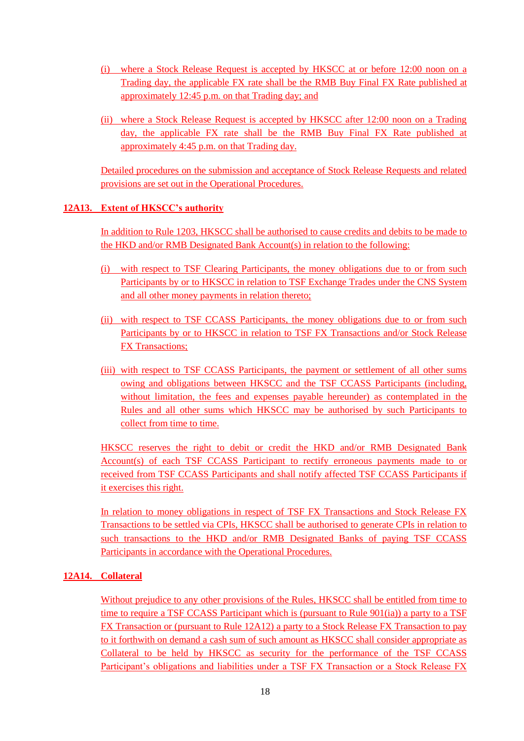- (i) where a Stock Release Request is accepted by HKSCC at or before 12:00 noon on a Trading day, the applicable FX rate shall be the RMB Buy Final FX Rate published at approximately 12:45 p.m. on that Trading day; and
- (ii) where a Stock Release Request is accepted by HKSCC after 12:00 noon on a Trading day, the applicable FX rate shall be the RMB Buy Final FX Rate published at approximately 4:45 p.m. on that Trading day.

Detailed procedures on the submission and acceptance of Stock Release Requests and related provisions are set out in the Operational Procedures.

## **12A13. Extent of HKSCC's authority**

In addition to Rule 1203, HKSCC shall be authorised to cause credits and debits to be made to the HKD and/or RMB Designated Bank Account(s) in relation to the following:

- (i) with respect to TSF Clearing Participants, the money obligations due to or from such Participants by or to HKSCC in relation to TSF Exchange Trades under the CNS System and all other money payments in relation thereto;
- (ii) with respect to TSF CCASS Participants, the money obligations due to or from such Participants by or to HKSCC in relation to TSF FX Transactions and/or Stock Release **FX Transactions;**
- (iii) with respect to TSF CCASS Participants, the payment or settlement of all other sums owing and obligations between HKSCC and the TSF CCASS Participants (including, without limitation, the fees and expenses payable hereunder) as contemplated in the Rules and all other sums which HKSCC may be authorised by such Participants to collect from time to time.

HKSCC reserves the right to debit or credit the HKD and/or RMB Designated Bank Account(s) of each TSF CCASS Participant to rectify erroneous payments made to or received from TSF CCASS Participants and shall notify affected TSF CCASS Participants if it exercises this right.

In relation to money obligations in respect of TSF FX Transactions and Stock Release FX Transactions to be settled via CPIs, HKSCC shall be authorised to generate CPIs in relation to such transactions to the HKD and/or RMB Designated Banks of paying TSF CCASS Participants in accordance with the Operational Procedures.

## **12A14. Collateral**

Without prejudice to any other provisions of the Rules, HKSCC shall be entitled from time to time to require a TSF CCASS Participant which is (pursuant to Rule 901(ia)) a party to a TSF FX Transaction or (pursuant to Rule 12A12) a party to a Stock Release FX Transaction to pay to it forthwith on demand a cash sum of such amount as HKSCC shall consider appropriate as Collateral to be held by HKSCC as security for the performance of the TSF CCASS Participant's obligations and liabilities under a TSF FX Transaction or a Stock Release FX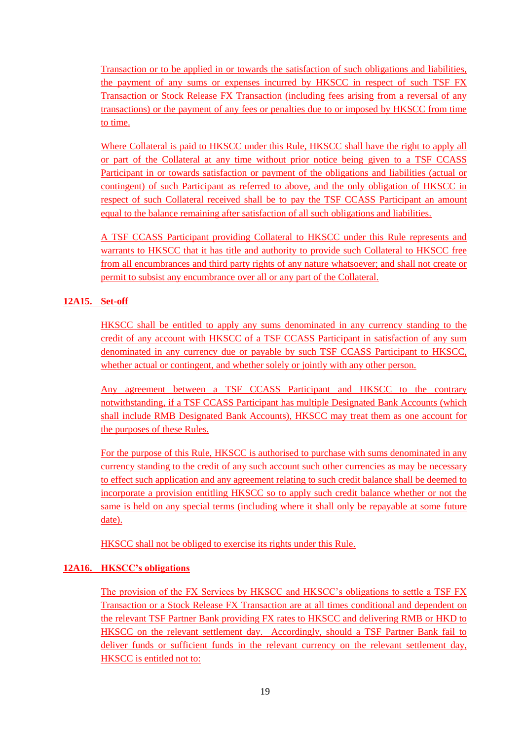Transaction or to be applied in or towards the satisfaction of such obligations and liabilities, the payment of any sums or expenses incurred by HKSCC in respect of such TSF FX Transaction or Stock Release FX Transaction (including fees arising from a reversal of any transactions) or the payment of any fees or penalties due to or imposed by HKSCC from time to time.

Where Collateral is paid to HKSCC under this Rule, HKSCC shall have the right to apply all or part of the Collateral at any time without prior notice being given to a TSF CCASS Participant in or towards satisfaction or payment of the obligations and liabilities (actual or contingent) of such Participant as referred to above, and the only obligation of HKSCC in respect of such Collateral received shall be to pay the TSF CCASS Participant an amount equal to the balance remaining after satisfaction of all such obligations and liabilities.

A TSF CCASS Participant providing Collateral to HKSCC under this Rule represents and warrants to HKSCC that it has title and authority to provide such Collateral to HKSCC free from all encumbrances and third party rights of any nature whatsoever; and shall not create or permit to subsist any encumbrance over all or any part of the Collateral.

## **12A15. Set-off**

HKSCC shall be entitled to apply any sums denominated in any currency standing to the credit of any account with HKSCC of a TSF CCASS Participant in satisfaction of any sum denominated in any currency due or payable by such TSF CCASS Participant to HKSCC, whether actual or contingent, and whether solely or jointly with any other person.

Any agreement between a TSF CCASS Participant and HKSCC to the contrary notwithstanding, if a TSF CCASS Participant has multiple Designated Bank Accounts (which shall include RMB Designated Bank Accounts), HKSCC may treat them as one account for the purposes of these Rules.

For the purpose of this Rule, HKSCC is authorised to purchase with sums denominated in any currency standing to the credit of any such account such other currencies as may be necessary to effect such application and any agreement relating to such credit balance shall be deemed to incorporate a provision entitling HKSCC so to apply such credit balance whether or not the same is held on any special terms (including where it shall only be repayable at some future date).

HKSCC shall not be obliged to exercise its rights under this Rule.

## **12A16. HKSCC's obligations**

The provision of the FX Services by HKSCC and HKSCC's obligations to settle a TSF FX Transaction or a Stock Release FX Transaction are at all times conditional and dependent on the relevant TSF Partner Bank providing FX rates to HKSCC and delivering RMB or HKD to HKSCC on the relevant settlement day. Accordingly, should a TSF Partner Bank fail to deliver funds or sufficient funds in the relevant currency on the relevant settlement day, HKSCC is entitled not to: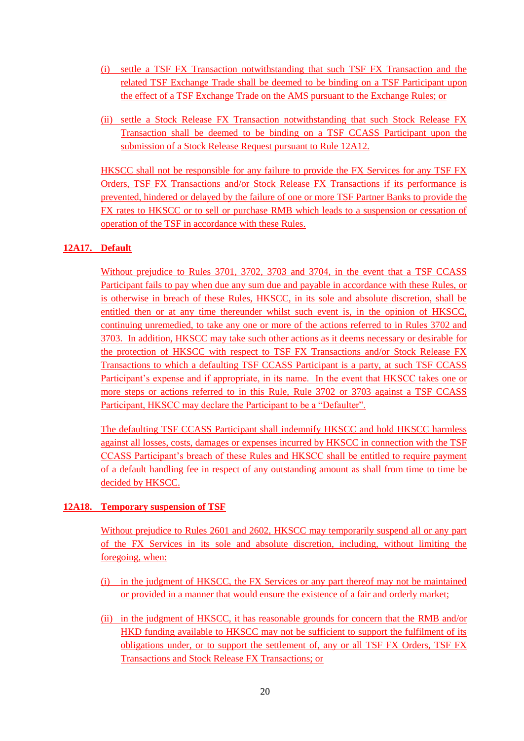- (i) settle a TSF FX Transaction notwithstanding that such TSF FX Transaction and the related TSF Exchange Trade shall be deemed to be binding on a TSF Participant upon the effect of a TSF Exchange Trade on the AMS pursuant to the Exchange Rules; or
- (ii) settle a Stock Release FX Transaction notwithstanding that such Stock Release FX Transaction shall be deemed to be binding on a TSF CCASS Participant upon the submission of a Stock Release Request pursuant to Rule 12A12.

HKSCC shall not be responsible for any failure to provide the FX Services for any TSF FX Orders, TSF FX Transactions and/or Stock Release FX Transactions if its performance is prevented, hindered or delayed by the failure of one or more TSF Partner Banks to provide the FX rates to HKSCC or to sell or purchase RMB which leads to a suspension or cessation of operation of the TSF in accordance with these Rules.

## **12A17. Default**

Without prejudice to Rules 3701, 3702, 3703 and 3704, in the event that a TSF CCASS Participant fails to pay when due any sum due and payable in accordance with these Rules, or is otherwise in breach of these Rules, HKSCC, in its sole and absolute discretion, shall be entitled then or at any time thereunder whilst such event is, in the opinion of HKSCC, continuing unremedied, to take any one or more of the actions referred to in Rules 3702 and 3703. In addition, HKSCC may take such other actions as it deems necessary or desirable for the protection of HKSCC with respect to TSF FX Transactions and/or Stock Release FX Transactions to which a defaulting TSF CCASS Participant is a party, at such TSF CCASS Participant's expense and if appropriate, in its name. In the event that HKSCC takes one or more steps or actions referred to in this Rule, Rule 3702 or 3703 against a TSF CCASS Participant, HKSCC may declare the Participant to be a "Defaulter".

The defaulting TSF CCASS Participant shall indemnify HKSCC and hold HKSCC harmless against all losses, costs, damages or expenses incurred by HKSCC in connection with the TSF CCASS Participant's breach of these Rules and HKSCC shall be entitled to require payment of a default handling fee in respect of any outstanding amount as shall from time to time be decided by HKSCC.

## **12A18. Temporary suspension of TSF**

Without prejudice to Rules 2601 and 2602, HKSCC may temporarily suspend all or any part of the FX Services in its sole and absolute discretion, including, without limiting the foregoing, when:

- (i) in the judgment of HKSCC, the FX Services or any part thereof may not be maintained or provided in a manner that would ensure the existence of a fair and orderly market;
- (ii) in the judgment of HKSCC, it has reasonable grounds for concern that the RMB and/or HKD funding available to HKSCC may not be sufficient to support the fulfilment of its obligations under, or to support the settlement of, any or all TSF FX Orders, TSF FX Transactions and Stock Release FX Transactions; or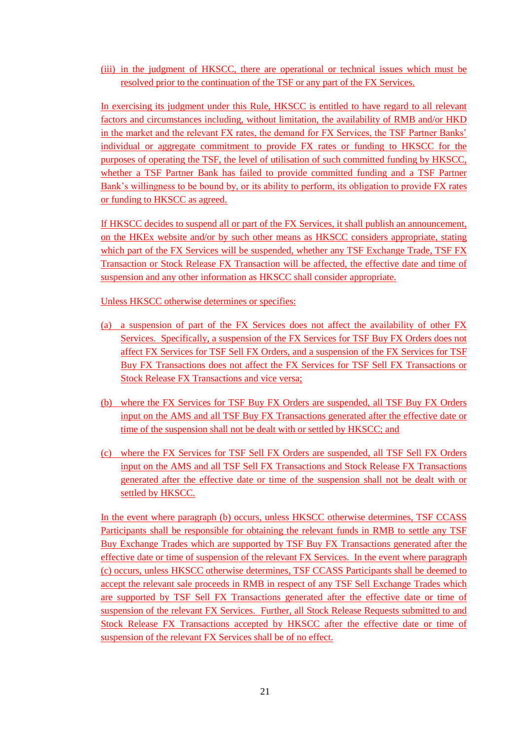(iii) in the judgment of HKSCC, there are operational or technical issues which must be resolved prior to the continuation of the TSF or any part of the FX Services.

In exercising its judgment under this Rule, HKSCC is entitled to have regard to all relevant factors and circumstances including, without limitation, the availability of RMB and/or HKD in the market and the relevant FX rates, the demand for FX Services, the TSF Partner Banks' individual or aggregate commitment to provide FX rates or funding to HKSCC for the purposes of operating the TSF, the level of utilisation of such committed funding by HKSCC, whether a TSF Partner Bank has failed to provide committed funding and a TSF Partner Bank's willingness to be bound by, or its ability to perform, its obligation to provide FX rates or funding to HKSCC as agreed.

If HKSCC decides to suspend all or part of the FX Services, it shall publish an announcement, on the HKEx website and/or by such other means as HKSCC considers appropriate, stating which part of the FX Services will be suspended, whether any TSF Exchange Trade, TSF FX Transaction or Stock Release FX Transaction will be affected, the effective date and time of suspension and any other information as HKSCC shall consider appropriate.

Unless HKSCC otherwise determines or specifies:

- (a) a suspension of part of the FX Services does not affect the availability of other FX Services. Specifically, a suspension of the FX Services for TSF Buy FX Orders does not affect FX Services for TSF Sell FX Orders, and a suspension of the FX Services for TSF Buy FX Transactions does not affect the FX Services for TSF Sell FX Transactions or Stock Release FX Transactions and vice versa;
- (b) where the FX Services for TSF Buy FX Orders are suspended, all TSF Buy FX Orders input on the AMS and all TSF Buy FX Transactions generated after the effective date or time of the suspension shall not be dealt with or settled by HKSCC; and
- (c) where the FX Services for TSF Sell FX Orders are suspended, all TSF Sell FX Orders input on the AMS and all TSF Sell FX Transactions and Stock Release FX Transactions generated after the effective date or time of the suspension shall not be dealt with or settled by HKSCC.

In the event where paragraph (b) occurs, unless HKSCC otherwise determines, TSF CCASS Participants shall be responsible for obtaining the relevant funds in RMB to settle any TSF Buy Exchange Trades which are supported by TSF Buy FX Transactions generated after the effective date or time of suspension of the relevant FX Services. In the event where paragraph (c) occurs, unless HKSCC otherwise determines, TSF CCASS Participants shall be deemed to accept the relevant sale proceeds in RMB in respect of any TSF Sell Exchange Trades which are supported by TSF Sell FX Transactions generated after the effective date or time of suspension of the relevant FX Services. Further, all Stock Release Requests submitted to and Stock Release FX Transactions accepted by HKSCC after the effective date or time of suspension of the relevant FX Services shall be of no effect.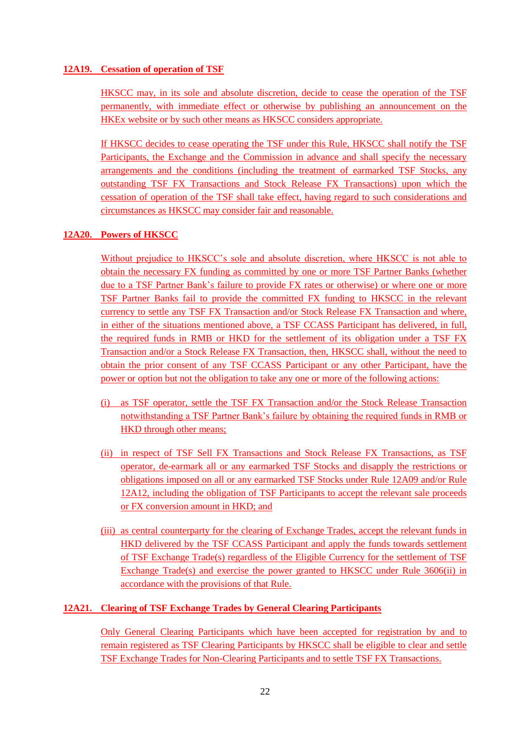## **12A19. Cessation of operation of TSF**

HKSCC may, in its sole and absolute discretion, decide to cease the operation of the TSF permanently, with immediate effect or otherwise by publishing an announcement on the HKEx website or by such other means as HKSCC considers appropriate.

If HKSCC decides to cease operating the TSF under this Rule, HKSCC shall notify the TSF Participants, the Exchange and the Commission in advance and shall specify the necessary arrangements and the conditions (including the treatment of earmarked TSF Stocks, any outstanding TSF FX Transactions and Stock Release FX Transactions) upon which the cessation of operation of the TSF shall take effect, having regard to such considerations and circumstances as HKSCC may consider fair and reasonable.

## **12A20. Powers of HKSCC**

Without prejudice to HKSCC's sole and absolute discretion, where HKSCC is not able to obtain the necessary FX funding as committed by one or more TSF Partner Banks (whether due to a TSF Partner Bank's failure to provide FX rates or otherwise) or where one or more TSF Partner Banks fail to provide the committed FX funding to HKSCC in the relevant currency to settle any TSF FX Transaction and/or Stock Release FX Transaction and where, in either of the situations mentioned above, a TSF CCASS Participant has delivered, in full, the required funds in RMB or HKD for the settlement of its obligation under a TSF FX Transaction and/or a Stock Release FX Transaction, then, HKSCC shall, without the need to obtain the prior consent of any TSF CCASS Participant or any other Participant, have the power or option but not the obligation to take any one or more of the following actions:

- (i) as TSF operator, settle the TSF FX Transaction and/or the Stock Release Transaction notwithstanding a TSF Partner Bank's failure by obtaining the required funds in RMB or HKD through other means;
- (ii) in respect of TSF Sell FX Transactions and Stock Release FX Transactions, as TSF operator, de-earmark all or any earmarked TSF Stocks and disapply the restrictions or obligations imposed on all or any earmarked TSF Stocks under Rule 12A09 and/or Rule 12A12, including the obligation of TSF Participants to accept the relevant sale proceeds or FX conversion amount in HKD; and
- (iii) as central counterparty for the clearing of Exchange Trades, accept the relevant funds in HKD delivered by the TSF CCASS Participant and apply the funds towards settlement of TSF Exchange Trade(s) regardless of the Eligible Currency for the settlement of TSF Exchange Trade(s) and exercise the power granted to HKSCC under Rule  $3606(ii)$  in accordance with the provisions of that Rule.

## **12A21. Clearing of TSF Exchange Trades by General Clearing Participants**

Only General Clearing Participants which have been accepted for registration by and to remain registered as TSF Clearing Participants by HKSCC shall be eligible to clear and settle TSF Exchange Trades for Non-Clearing Participants and to settle TSF FX Transactions.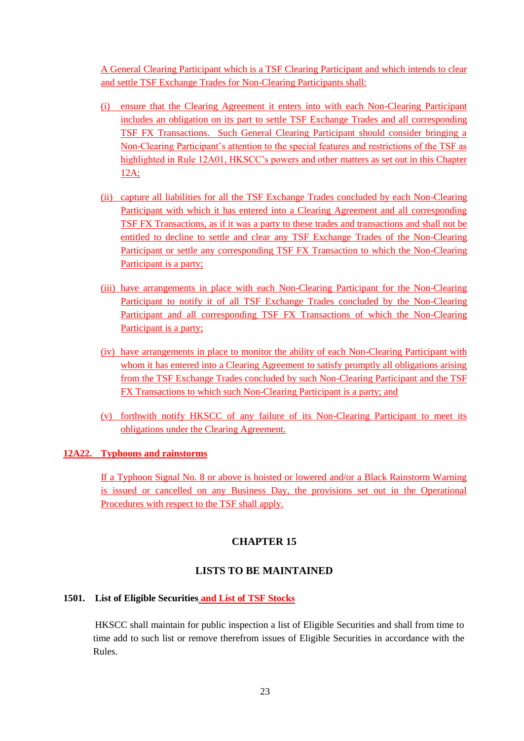A General Clearing Participant which is a TSF Clearing Participant and which intends to clear and settle TSF Exchange Trades for Non-Clearing Participants shall:

- (i) ensure that the Clearing Agreement it enters into with each Non-Clearing Participant includes an obligation on its part to settle TSF Exchange Trades and all corresponding TSF FX Transactions. Such General Clearing Participant should consider bringing a Non-Clearing Participant's attention to the special features and restrictions of the TSF as highlighted in Rule 12A01, HKSCC's powers and other matters as set out in this Chapter 12A;
- (ii) capture all liabilities for all the TSF Exchange Trades concluded by each Non-Clearing Participant with which it has entered into a Clearing Agreement and all corresponding TSF FX Transactions, as if it was a party to these trades and transactions and shall not be entitled to decline to settle and clear any TSF Exchange Trades of the Non-Clearing Participant or settle any corresponding TSF FX Transaction to which the Non-Clearing Participant is a party;
- (iii) have arrangements in place with each Non-Clearing Participant for the Non-Clearing Participant to notify it of all TSF Exchange Trades concluded by the Non-Clearing Participant and all corresponding TSF FX Transactions of which the Non-Clearing Participant is a party;
- (iv) have arrangements in place to monitor the ability of each Non-Clearing Participant with whom it has entered into a Clearing Agreement to satisfy promptly all obligations arising from the TSF Exchange Trades concluded by such Non-Clearing Participant and the TSF FX Transactions to which such Non-Clearing Participant is a party; and
- (v) forthwith notify HKSCC of any failure of its Non-Clearing Participant to meet its obligations under the Clearing Agreement.

## **12A22. Typhoons and rainstorms**

If a Typhoon Signal No. 8 or above is hoisted or lowered and/or a Black Rainstorm Warning is issued or cancelled on any Business Day, the provisions set out in the Operational Procedures with respect to the TSF shall apply.

## **CHAPTER 15**

## **LISTS TO BE MAINTAINED**

#### **1501. List of Eligible Securities and List of TSF Stocks**

HKSCC shall maintain for public inspection a list of Eligible Securities and shall from time to time add to such list or remove therefrom issues of Eligible Securities in accordance with the Rules.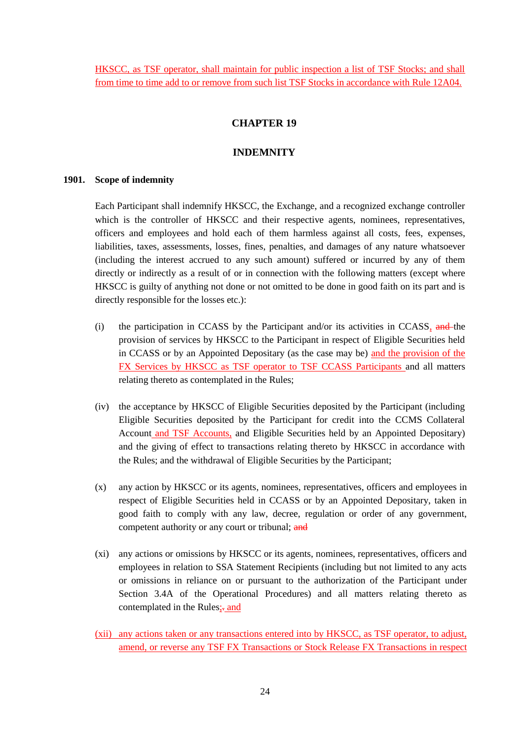HKSCC, as TSF operator, shall maintain for public inspection a list of TSF Stocks; and shall from time to time add to or remove from such list TSF Stocks in accordance with Rule 12A04.

## **CHAPTER 19**

### **INDEMNITY**

#### **1901. Scope of indemnity**

Each Participant shall indemnify HKSCC, the Exchange, and a recognized exchange controller which is the controller of HKSCC and their respective agents, nominees, representatives, officers and employees and hold each of them harmless against all costs, fees, expenses, liabilities, taxes, assessments, losses, fines, penalties, and damages of any nature whatsoever (including the interest accrued to any such amount) suffered or incurred by any of them directly or indirectly as a result of or in connection with the following matters (except where HKSCC is guilty of anything not done or not omitted to be done in good faith on its part and is directly responsible for the losses etc.):

- (i) the participation in CCASS by the Participant and/or its activities in CCASS,  $\frac{and}{the}$  the provision of services by HKSCC to the Participant in respect of Eligible Securities held in CCASS or by an Appointed Depositary (as the case may be) and the provision of the FX Services by HKSCC as TSF operator to TSF CCASS Participants and all matters relating thereto as contemplated in the Rules;
- (iv) the acceptance by HKSCC of Eligible Securities deposited by the Participant (including Eligible Securities deposited by the Participant for credit into the CCMS Collateral Account and TSF Accounts, and Eligible Securities held by an Appointed Depositary) and the giving of effect to transactions relating thereto by HKSCC in accordance with the Rules; and the withdrawal of Eligible Securities by the Participant;
- (x) any action by HKSCC or its agents, nominees, representatives, officers and employees in respect of Eligible Securities held in CCASS or by an Appointed Depositary, taken in good faith to comply with any law, decree, regulation or order of any government, competent authority or any court or tribunal; and
- (xi) any actions or omissions by HKSCC or its agents, nominees, representatives, officers and employees in relation to SSA Statement Recipients (including but not limited to any acts or omissions in reliance on or pursuant to the authorization of the Participant under Section 3.4A of the Operational Procedures) and all matters relating thereto as contemplated in the Rules;-and
- (xii) any actions taken or any transactions entered into by HKSCC, as TSF operator, to adjust, amend, or reverse any TSF FX Transactions or Stock Release FX Transactions in respect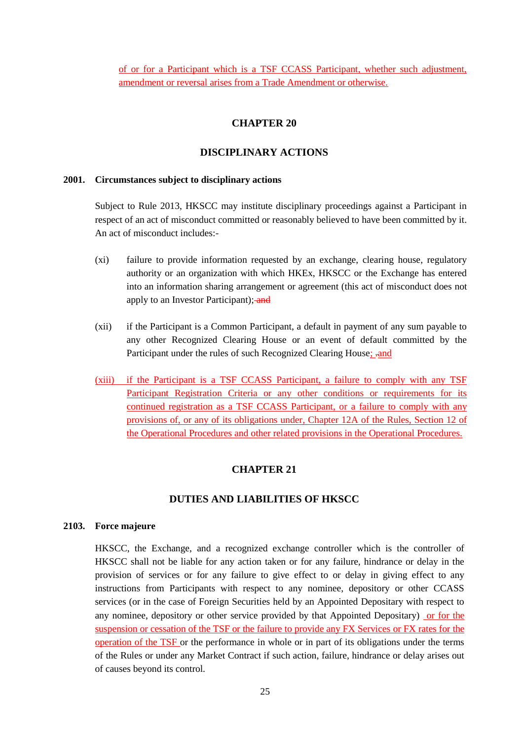of or for a Participant which is a TSF CCASS Participant, whether such adjustment, amendment or reversal arises from a Trade Amendment or otherwise.

## **CHAPTER 20**

### **DISCIPLINARY ACTIONS**

#### **2001. Circumstances subject to disciplinary actions**

Subject to Rule 2013, HKSCC may institute disciplinary proceedings against a Participant in respect of an act of misconduct committed or reasonably believed to have been committed by it. An act of misconduct includes:-

- (xi) failure to provide information requested by an exchange, clearing house, regulatory authority or an organization with which HKEx, HKSCC or the Exchange has entered into an information sharing arrangement or agreement (this act of misconduct does not apply to an Investor Participant); and
- (xii) if the Participant is a Common Participant, a default in payment of any sum payable to any other Recognized Clearing House or an event of default committed by the Participant under the rules of such Recognized Clearing House; -and
- (xiii) if the Participant is a TSF CCASS Participant, a failure to comply with any TSF Participant Registration Criteria or any other conditions or requirements for its continued registration as a TSF CCASS Participant, or a failure to comply with any provisions of, or any of its obligations under, Chapter 12A of the Rules, Section 12 of the Operational Procedures and other related provisions in the Operational Procedures.

## **CHAPTER 21**

## **DUTIES AND LIABILITIES OF HKSCC**

#### **2103. Force majeure**

HKSCC, the Exchange, and a recognized exchange controller which is the controller of HKSCC shall not be liable for any action taken or for any failure, hindrance or delay in the provision of services or for any failure to give effect to or delay in giving effect to any instructions from Participants with respect to any nominee, depository or other CCASS services (or in the case of Foreign Securities held by an Appointed Depositary with respect to any nominee, depository or other service provided by that Appointed Depositary) or for the suspension or cessation of the TSF or the failure to provide any FX Services or FX rates for the operation of the TSF or the performance in whole or in part of its obligations under the terms of the Rules or under any Market Contract if such action, failure, hindrance or delay arises out of causes beyond its control.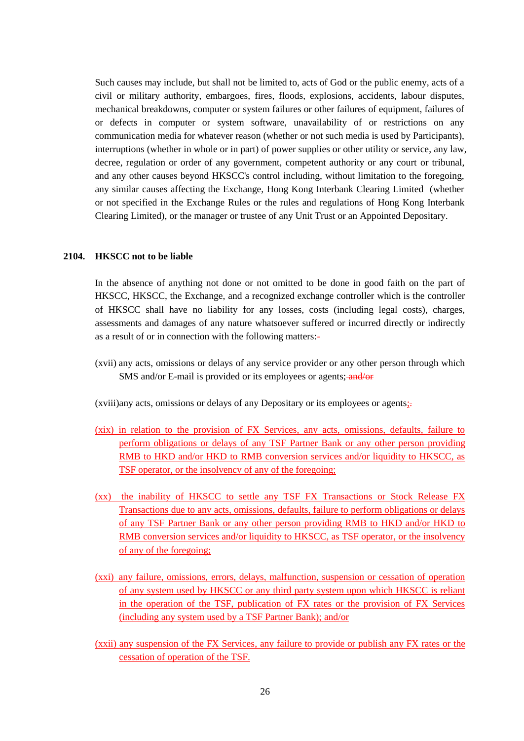Such causes may include, but shall not be limited to, acts of God or the public enemy, acts of a civil or military authority, embargoes, fires, floods, explosions, accidents, labour disputes, mechanical breakdowns, computer or system failures or other failures of equipment, failures of or defects in computer or system software, unavailability of or restrictions on any communication media for whatever reason (whether or not such media is used by Participants), interruptions (whether in whole or in part) of power supplies or other utility or service, any law, decree, regulation or order of any government, competent authority or any court or tribunal, and any other causes beyond HKSCC's control including, without limitation to the foregoing, any similar causes affecting the Exchange, Hong Kong Interbank Clearing Limited (whether or not specified in the Exchange Rules or the rules and regulations of Hong Kong Interbank Clearing Limited), or the manager or trustee of any Unit Trust or an Appointed Depositary.

#### **2104. HKSCC not to be liable**

In the absence of anything not done or not omitted to be done in good faith on the part of HKSCC, HKSCC, the Exchange, and a recognized exchange controller which is the controller of HKSCC shall have no liability for any losses, costs (including legal costs), charges, assessments and damages of any nature whatsoever suffered or incurred directly or indirectly as a result of or in connection with the following matters:-

(xvii) any acts, omissions or delays of any service provider or any other person through which SMS and/or E-mail is provided or its employees or agents; and/or

(xviii)any acts, omissions or delays of any Depositary or its employees or agents;

- (xix) in relation to the provision of FX Services, any acts, omissions, defaults, failure to perform obligations or delays of any TSF Partner Bank or any other person providing RMB to HKD and/or HKD to RMB conversion services and/or liquidity to HKSCC, as TSF operator, or the insolvency of any of the foregoing;
- (xx) the inability of HKSCC to settle any TSF FX Transactions or Stock Release FX Transactions due to any acts, omissions, defaults, failure to perform obligations or delays of any TSF Partner Bank or any other person providing RMB to HKD and/or HKD to RMB conversion services and/or liquidity to HKSCC, as TSF operator, or the insolvency of any of the foregoing;
- (xxi) any failure, omissions, errors, delays, malfunction, suspension or cessation of operation of any system used by HKSCC or any third party system upon which HKSCC is reliant in the operation of the TSF, publication of FX rates or the provision of FX Services (including any system used by a TSF Partner Bank); and/or
- (xxii) any suspension of the FX Services, any failure to provide or publish any FX rates or the cessation of operation of the TSF.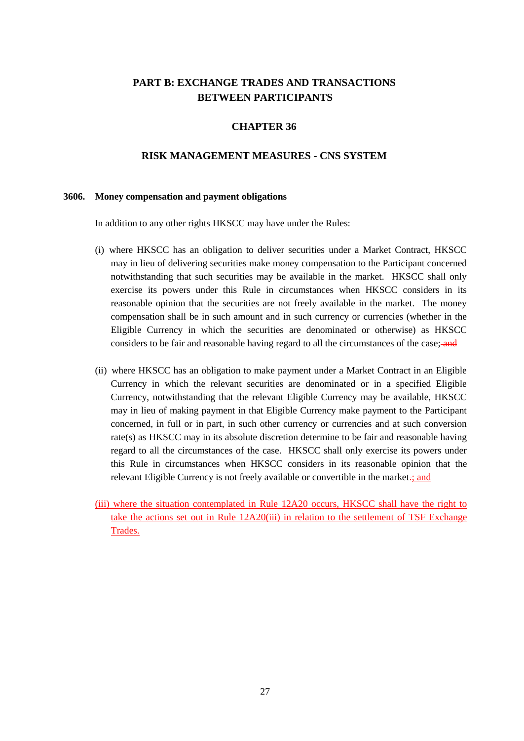## **PART B: EXCHANGE TRADES AND TRANSACTIONS BETWEEN PARTICIPANTS**

### **CHAPTER 36**

#### **RISK MANAGEMENT MEASURES - CNS SYSTEM**

#### **3606. Money compensation and payment obligations**

In addition to any other rights HKSCC may have under the Rules:

- (i) where HKSCC has an obligation to deliver securities under a Market Contract, HKSCC may in lieu of delivering securities make money compensation to the Participant concerned notwithstanding that such securities may be available in the market. HKSCC shall only exercise its powers under this Rule in circumstances when HKSCC considers in its reasonable opinion that the securities are not freely available in the market. The money compensation shall be in such amount and in such currency or currencies (whether in the Eligible Currency in which the securities are denominated or otherwise) as HKSCC considers to be fair and reasonable having regard to all the circumstances of the case; and
- (ii) where HKSCC has an obligation to make payment under a Market Contract in an Eligible Currency in which the relevant securities are denominated or in a specified Eligible Currency, notwithstanding that the relevant Eligible Currency may be available, HKSCC may in lieu of making payment in that Eligible Currency make payment to the Participant concerned, in full or in part, in such other currency or currencies and at such conversion rate(s) as HKSCC may in its absolute discretion determine to be fair and reasonable having regard to all the circumstances of the case. HKSCC shall only exercise its powers under this Rule in circumstances when HKSCC considers in its reasonable opinion that the relevant Eligible Currency is not freely available or convertible in the market.; and
- (iii) where the situation contemplated in Rule 12A20 occurs, HKSCC shall have the right to take the actions set out in Rule 12A20(iii) in relation to the settlement of TSF Exchange Trades.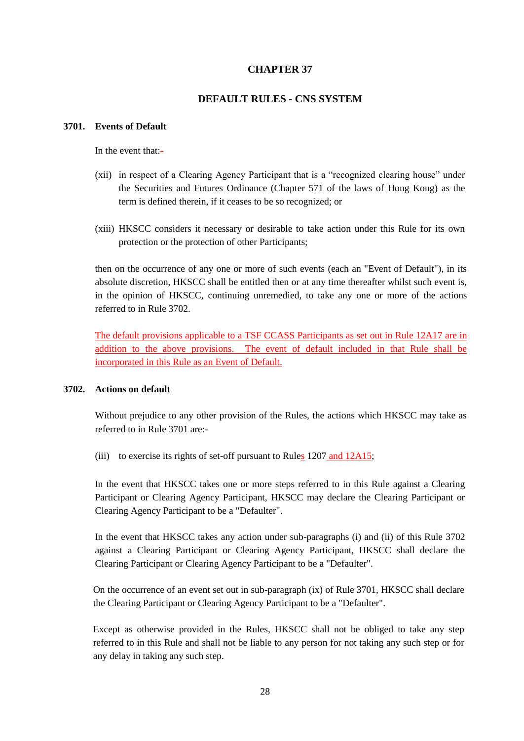## **CHAPTER 37**

## **DEFAULT RULES - CNS SYSTEM**

#### **3701. Events of Default**

In the event that:-

- (xii) in respect of a Clearing Agency Participant that is a "recognized clearing house" under the Securities and Futures Ordinance (Chapter 571 of the laws of Hong Kong) as the term is defined therein, if it ceases to be so recognized; or
- (xiii) HKSCC considers it necessary or desirable to take action under this Rule for its own protection or the protection of other Participants;

then on the occurrence of any one or more of such events (each an "Event of Default"), in its absolute discretion, HKSCC shall be entitled then or at any time thereafter whilst such event is, in the opinion of HKSCC, continuing unremedied, to take any one or more of the actions referred to in Rule 3702.

The default provisions applicable to a TSF CCASS Participants as set out in Rule 12A17 are in addition to the above provisions. The event of default included in that Rule shall be incorporated in this Rule as an Event of Default.

#### **3702. Actions on default**

Without prejudice to any other provision of the Rules, the actions which HKSCC may take as referred to in Rule 3701 are:-

(iii) to exercise its rights of set-off pursuant to Rules  $1207$  and  $12A15$ ;

In the event that HKSCC takes one or more steps referred to in this Rule against a Clearing Participant or Clearing Agency Participant, HKSCC may declare the Clearing Participant or Clearing Agency Participant to be a "Defaulter".

In the event that HKSCC takes any action under sub-paragraphs (i) and (ii) of this Rule 3702 against a Clearing Participant or Clearing Agency Participant, HKSCC shall declare the Clearing Participant or Clearing Agency Participant to be a "Defaulter".

On the occurrence of an event set out in sub-paragraph (ix) of Rule 3701, HKSCC shall declare the Clearing Participant or Clearing Agency Participant to be a "Defaulter".

Except as otherwise provided in the Rules, HKSCC shall not be obliged to take any step referred to in this Rule and shall not be liable to any person for not taking any such step or for any delay in taking any such step.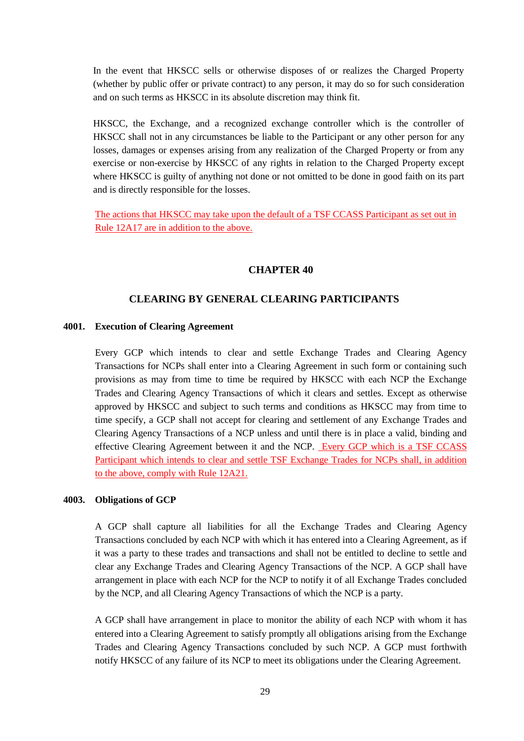In the event that HKSCC sells or otherwise disposes of or realizes the Charged Property (whether by public offer or private contract) to any person, it may do so for such consideration and on such terms as HKSCC in its absolute discretion may think fit.

HKSCC, the Exchange, and a recognized exchange controller which is the controller of HKSCC shall not in any circumstances be liable to the Participant or any other person for any losses, damages or expenses arising from any realization of the Charged Property or from any exercise or non-exercise by HKSCC of any rights in relation to the Charged Property except where HKSCC is guilty of anything not done or not omitted to be done in good faith on its part and is directly responsible for the losses.

The actions that HKSCC may take upon the default of a TSF CCASS Participant as set out in Rule 12A17 are in addition to the above.

#### **CHAPTER 40**

#### **CLEARING BY GENERAL CLEARING PARTICIPANTS**

#### **4001. Execution of Clearing Agreement**

Every GCP which intends to clear and settle Exchange Trades and Clearing Agency Transactions for NCPs shall enter into a Clearing Agreement in such form or containing such provisions as may from time to time be required by HKSCC with each NCP the Exchange Trades and Clearing Agency Transactions of which it clears and settles. Except as otherwise approved by HKSCC and subject to such terms and conditions as HKSCC may from time to time specify, a GCP shall not accept for clearing and settlement of any Exchange Trades and Clearing Agency Transactions of a NCP unless and until there is in place a valid, binding and effective Clearing Agreement between it and the NCP. Every GCP which is a TSF CCASS Participant which intends to clear and settle TSF Exchange Trades for NCPs shall, in addition to the above, comply with Rule 12A21.

#### **4003. Obligations of GCP**

A GCP shall capture all liabilities for all the Exchange Trades and Clearing Agency Transactions concluded by each NCP with which it has entered into a Clearing Agreement, as if it was a party to these trades and transactions and shall not be entitled to decline to settle and clear any Exchange Trades and Clearing Agency Transactions of the NCP. A GCP shall have arrangement in place with each NCP for the NCP to notify it of all Exchange Trades concluded by the NCP, and all Clearing Agency Transactions of which the NCP is a party.

A GCP shall have arrangement in place to monitor the ability of each NCP with whom it has entered into a Clearing Agreement to satisfy promptly all obligations arising from the Exchange Trades and Clearing Agency Transactions concluded by such NCP. A GCP must forthwith notify HKSCC of any failure of its NCP to meet its obligations under the Clearing Agreement.